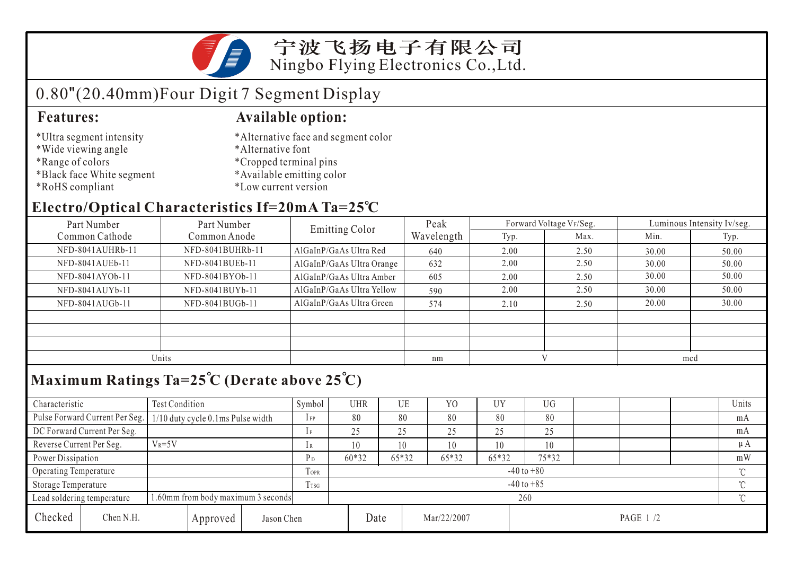

# 0.80"(20.40mm)Four Digit 7 Segment Display

- \*Ultra segment intensity
- \*Wide viewing angle
- \*Range of colors
- \*Black face White segment
- \*RoHS compliant

#### **Features: Available option:**

- \*Alternative face and segment color
- \*Alternative font
- \*Cropped terminal pins
- \*Available emitting color
- \*Low current version

### **Electro/Optical Characteristics If=20mA Ta=25 C**

| Part Number      | Part Number      | <b>Emitting Color</b>     | Peak       |      | Forward Voltage VF/Seg. | Luminous Intensity Iv/seg. |       |  |  |  |
|------------------|------------------|---------------------------|------------|------|-------------------------|----------------------------|-------|--|--|--|
| Common Cathode   | Common Anode     |                           | Wavelength | Typ. | Max.                    | Min.                       | Typ.  |  |  |  |
| NFD-8041AUHRb-11 | NFD-8041BUHRb-11 | AlGaInP/GaAs Ultra Red    | 640        | 2.00 | 2.50                    | 30.00                      | 50.00 |  |  |  |
| NFD-8041AUEb-11  | NFD-8041BUEb-11  | AlGaInP/GaAs Ultra Orange | 632        | 2.00 | 2.50                    | 30.00                      | 50.00 |  |  |  |
| NFD-8041AYOb-11  | NFD-8041BYOb-11  | AlGaInP/GaAs Ultra Amber  | 605        | 2.00 | 2.50                    | 30.00                      | 50.00 |  |  |  |
| NFD-8041AUYb-11  | NFD-8041BUYb-11  | AlGaInP/GaAs Ultra Yellow | 590        | 2.00 | 2.50                    | 30.00                      | 50.00 |  |  |  |
| NFD-8041AUGb-11  | NFD-8041BUGb-11  | AlGaInP/GaAs Ultra Green  | 574        | 2.10 | 2.50                    | 20.00                      | 30.00 |  |  |  |
|                  |                  |                           |            |      |                         |                            |       |  |  |  |
|                  |                  |                           |            |      |                         |                            |       |  |  |  |
|                  |                  |                           |            |      |                         |                            |       |  |  |  |
| Units            |                  |                           | nm         |      |                         | mcd                        |       |  |  |  |
|                  |                  |                           |            |      |                         |                            |       |  |  |  |

## **Maximum Ratings Ta=25 C (Derate above 25 C)**

| Characteristic           |                                                                  | <b>Test Condition</b>                                              |                  |                | Symbol         | <b>UHR</b> | UE    |    | Y <sub>0</sub> | <b>UY</b> | <b>UG</b> |  |            |              | Units            |
|--------------------------|------------------------------------------------------------------|--------------------------------------------------------------------|------------------|----------------|----------------|------------|-------|----|----------------|-----------|-----------|--|------------|--------------|------------------|
|                          |                                                                  | Pulse Forward Current Per Seg.   1/10 duty cycle 0.1ms Pulse width |                  |                | $1$ FP         | 80         | 80    |    | 80             | 80        | 80        |  |            |              | mA               |
|                          | DC Forward Current Per Seg.                                      |                                                                    |                  |                | 1F             | 25         | 25    |    | 25             | 25        | 25        |  |            |              | mA               |
| Reverse Current Per Seg. |                                                                  | $V_R = 5V$                                                         |                  | 1 R            | 10             | 10         |       | 10 | 10             | 10        |           |  |            | $\mu A$      |                  |
| Power Dissipation        |                                                                  |                                                                    |                  |                | $P_D$          | 60*32      | 65*32 |    | 65*32          | 65*32     | 75*32     |  |            |              | mW               |
| Operating Temperature    |                                                                  |                                                                    |                  | <b>TOPR</b>    | $-40$ to $+80$ |            |       |    |                |           |           |  |            | $^{\circ}$ C |                  |
| Storage Temperature      |                                                                  |                                                                    | T <sub>TSG</sub> | $-40$ to $+85$ |                |            |       |    |                |           |           |  | $^{\circ}$ |              |                  |
|                          | 1.60mm from body maximum 3 seconds<br>Lead soldering temperature |                                                                    |                  |                |                | 260        |       |    |                |           |           |  |            |              | $\gamma^{\circ}$ |
| Checked                  | Chen N.H.                                                        |                                                                    | Approved         | Jason Chen     |                |            | Date  |    | Mar/22/2007    |           | PAGE 1 /2 |  |            |              |                  |